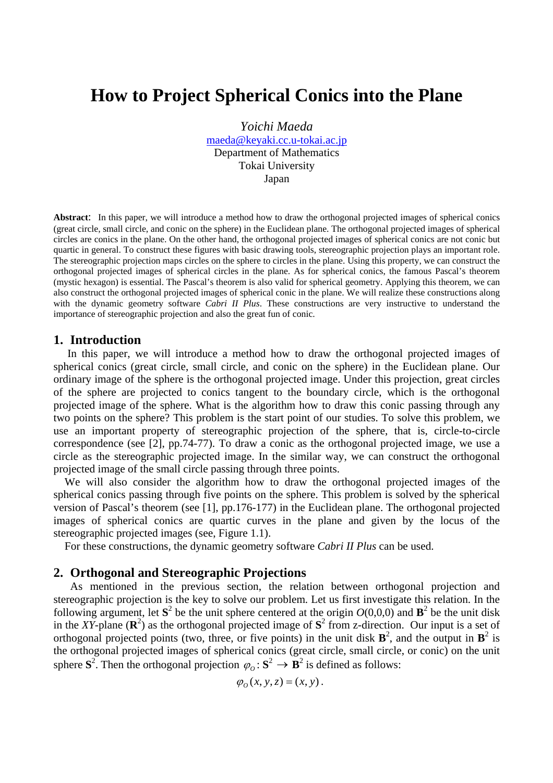# **How to Project Spherical Conics into the Plane**

*Yoichi Maeda*  maeda@keyaki.cc.u-tokai.ac.jp Department of Mathematics Tokai University Japan

**Abstract**: In this paper, we will introduce a method how to draw the orthogonal projected images of spherical conics (great circle, small circle, and conic on the sphere) in the Euclidean plane. The orthogonal projected images of spherical circles are conics in the plane. On the other hand, the orthogonal projected images of spherical conics are not conic but quartic in general. To construct these figures with basic drawing tools, stereographic projection plays an important role. The stereographic projection maps circles on the sphere to circles in the plane. Using this property, we can construct the orthogonal projected images of spherical circles in the plane. As for spherical conics, the famous Pascal's theorem (mystic hexagon) is essential. The Pascal's theorem is also valid for spherical geometry. Applying this theorem, we can also construct the orthogonal projected images of spherical conic in the plane. We will realize these constructions along with the dynamic geometry software *Cabri II Plus*. These constructions are very instructive to understand the importance of stereographic projection and also the great fun of conic.

#### **1. Introduction**

In this paper, we will introduce a method how to draw the orthogonal projected images of spherical conics (great circle, small circle, and conic on the sphere) in the Euclidean plane. Our ordinary image of the sphere is the orthogonal projected image. Under this projection, great circles of the sphere are projected to conics tangent to the boundary circle, which is the orthogonal projected image of the sphere. What is the algorithm how to draw this conic passing through any two points on the sphere? This problem is the start point of our studies. To solve this problem, we use an important property of stereographic projection of the sphere, that is, circle-to-circle correspondence (see [2], pp.74-77). To draw a conic as the orthogonal projected image, we use a circle as the stereographic projected image. In the similar way, we can construct the orthogonal projected image of the small circle passing through three points.

We will also consider the algorithm how to draw the orthogonal projected images of the spherical conics passing through five points on the sphere. This problem is solved by the spherical version of Pascal's theorem (see [1], pp.176-177) in the Euclidean plane. The orthogonal projected images of spherical conics are quartic curves in the plane and given by the locus of the stereographic projected images (see, Figure 1.1).

For these constructions, the dynamic geometry software *Cabri II Plus* can be used.

#### **2. Orthogonal and Stereographic Projections**

 As mentioned in the previous section, the relation between orthogonal projection and stereographic projection is the key to solve our problem. Let us first investigate this relation. In the following argument, let  $S^2$  be the unit sphere centered at the origin  $O(0,0,0)$  and  $\mathbf{B}^2$  be the unit disk in the *XY*-plane  $(\mathbb{R}^2)$  as the orthogonal projected image of  $\mathbb{S}^2$  from z-direction. Our input is a set of orthogonal projected points (two, three, or five points) in the unit disk  $\mathbf{B}^2$ , and the output in  $\mathbf{B}^2$  is the orthogonal projected images of spherical conics (great circle, small circle, or conic) on the unit sphere  $S^2$ . Then the orthogonal projection  $\varphi_o: S^2 \to B^2$  is defined as follows:

$$
\varphi_O(x, y, z) = (x, y).
$$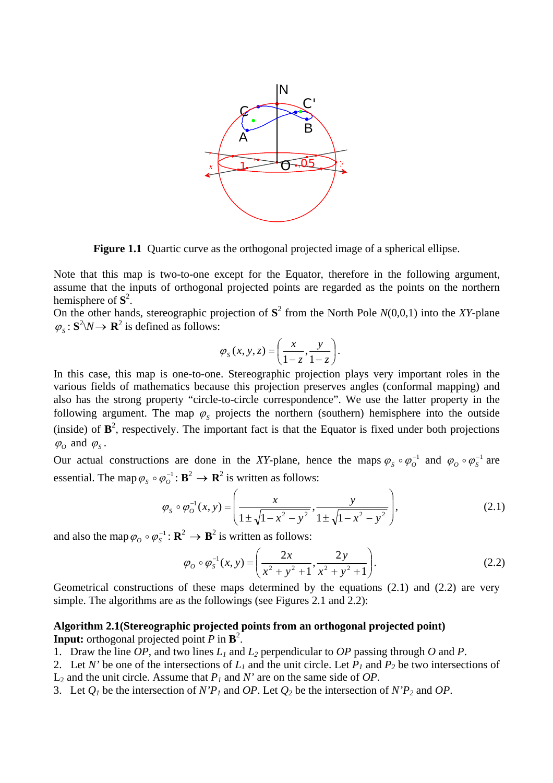

**Figure 1.1** Quartic curve as the orthogonal projected image of a spherical ellipse.

Note that this map is two-to-one except for the Equator, therefore in the following argument, assume that the inputs of orthogonal projected points are regarded as the points on the northern hemisphere of  $S^2$ .

On the other hands, stereographic projection of  $S^2$  from the North Pole  $N(0,0,1)$  into the *XY*-plane  $\varphi_s : \mathbf{S}^2 \setminus \mathbb{N} \to \mathbf{R}^2$  is defined as follows:

$$
\varphi_S(x, y, z) = \left(\frac{x}{1-z}, \frac{y}{1-z}\right).
$$

In this case, this map is one-to-one. Stereographic projection plays very important roles in the various fields of mathematics because this projection preserves angles (conformal mapping) and also has the strong property "circle-to-circle correspondence". We use the latter property in the following argument. The map  $\varphi_s$  projects the northern (southern) hemisphere into the outside (inside) of  $\mathbf{B}^2$ , respectively. The important fact is that the Equator is fixed under both projections  $\varphi$ <sub>o</sub> and  $\varphi$ <sub>s</sub>.

Our actual constructions are done in the *XY*-plane, hence the maps  $\varphi_s \circ \varphi_o^{-1}$  and  $\varphi_o \circ \varphi_s^{-1}$  are essential. The map  $\varphi_s \circ \varphi_o^{-1} : \mathbf{B}^2 \to \mathbf{R}^2$  is written as follows:

$$
\varphi_s \circ \varphi_o^{-1}(x, y) = \left( \frac{x}{1 \pm \sqrt{1 - x^2 - y^2}}, \frac{y}{1 \pm \sqrt{1 - x^2 - y^2}} \right),
$$
\n(2.1)

and also the map  $\varphi_o \circ \varphi_s^{-1} : \mathbf{R}^2 \to \mathbf{B}^2$  is written as follows:

$$
\varphi_O \circ \varphi_S^{-1}(x, y) = \left(\frac{2x}{x^2 + y^2 + 1}, \frac{2y}{x^2 + y^2 + 1}\right). \tag{2.2}
$$

Geometrical constructions of these maps determined by the equations (2.1) and (2.2) are very simple. The algorithms are as the followings (see Figures 2.1 and 2.2):

### **Algorithm 2.1(Stereographic projected points from an orthogonal projected point)**

**Input:** orthogonal projected point  $\vec{P}$  in  $\vec{B}^2$ .

1. Draw the line *OP*, and two lines *L1* and *L2* perpendicular to *OP* passing through *O* and *P*.

- 2. Let *N'* be one of the intersections of  $L_1$  and the unit circle. Let  $P_1$  and  $P_2$  be two intersections of  $L_2$  and the unit circle. Assume that  $P_1$  and  $N'$  are on the same side of  $OP$ .
- 3. Let  $Q_1$  be the intersection of  $N'P_1$  and  $OP$ . Let  $Q_2$  be the intersection of  $N'P_2$  and  $OP$ .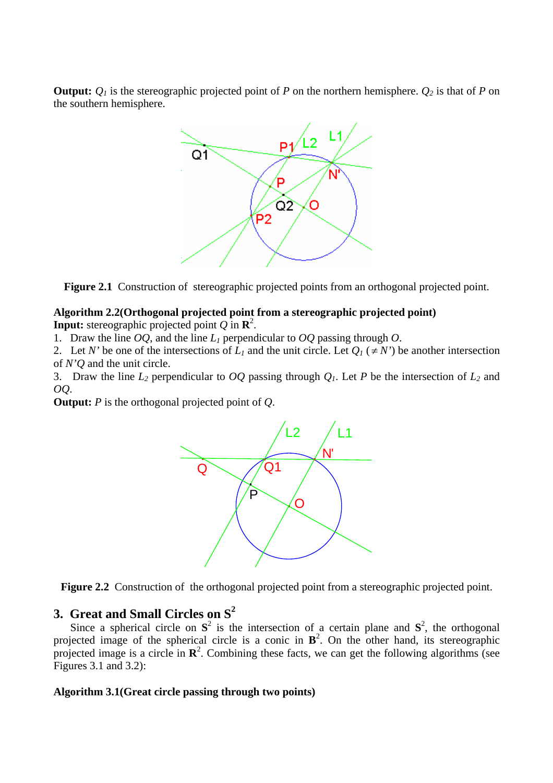**Output:**  $Q_1$  is the stereographic projected point of *P* on the northern hemisphere.  $Q_2$  is that of *P* on the southern hemisphere.



**Figure 2.1** Construction of stereographic projected points from an orthogonal projected point.

### **Algorithm 2.2(Orthogonal projected point from a stereographic projected point) Input:** stereographic projected point  $Q$  in  $\mathbb{R}^2$ .

1. Draw the line *OQ*, and the line *L1* perpendicular to *OQ* passing through *O*.

2. Let *N'* be one of the intersections of  $L_1$  and the unit circle. Let  $Q_1$  ( $\neq$  *N'*) be another intersection of *N'Q* and the unit circle.

3. Draw the line  $L_2$  perpendicular to  $OQ$  passing through  $Q_1$ . Let P be the intersection of  $L_2$  and *OQ*.

**Output:** *P* is the orthogonal projected point of *Q*.





# **3. Great and Small Circles on S<sup>2</sup>**

Since a spherical circle on  $S^2$  is the intersection of a certain plane and  $S^2$ , the orthogonal projected image of the spherical circle is a conic in  $\mathbf{B}^2$ . On the other hand, its stereographic projected image is a circle in  $\mathbb{R}^2$ . Combining these facts, we can get the following algorithms (see Figures 3.1 and 3.2):

#### **Algorithm 3.1(Great circle passing through two points)**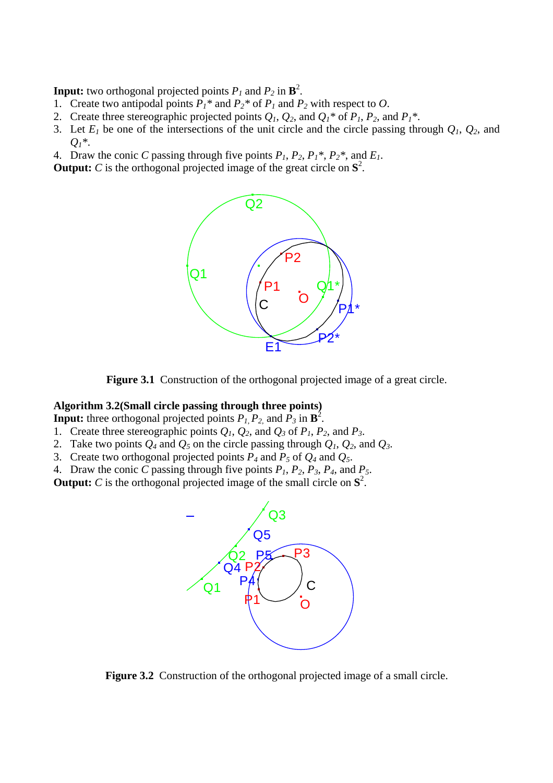**Input:** two orthogonal projected points  $P_1$  and  $P_2$  in  $\mathbf{B}^2$ .

- 1. Create two antipodal points  $P_1$ <sup>\*</sup> and  $P_2$ <sup>\*</sup> of  $P_1$  and  $P_2$  with respect to *O*.
- 2. Create three stereographic projected points  $Q_1$ ,  $Q_2$ , and  $Q_1$ <sup>\*</sup> of  $P_1$ ,  $P_2$ , and  $P_1$ <sup>\*</sup>.
- 3. Let  $E_1$  be one of the intersections of the unit circle and the circle passing through  $Q_1$ ,  $Q_2$ , and *Q1\**.
- 4. Draw the conic *C* passing through five points  $P_1$ ,  $P_2$ ,  $P_1$ <sup>\*</sup>,  $P_2$ <sup>\*</sup>, and  $E_1$ .

**Output:** *C* is the orthogonal projected image of the great circle on  $S^2$ .



**Figure 3.1** Construction of the orthogonal projected image of a great circle.

#### **Algorithm 3.2(Small circle passing through three points)**

**Input:** three orthogonal projected points  $P_1$ ,  $P_2$ , and  $P_3$  in  $\mathbf{B}^2$ .

- 1. Create three stereographic points  $Q_1$ ,  $Q_2$ , and  $Q_3$  of  $P_1$ ,  $P_2$ , and  $P_3$ .
- 2. Take two points  $Q_4$  and  $Q_5$  on the circle passing through  $Q_1$ ,  $Q_2$ , and  $Q_3$ .
- 3. Create two orthogonal projected points  $P_4$  and  $P_5$  of  $Q_4$  and  $Q_5$ .

4. Draw the conic C passing through five points  $P_1$ ,  $P_2$ ,  $P_3$ ,  $P_4$ , and  $P_5$ .

**Output:** *C* is the orthogonal projected image of the small circle on **S**<sup>2</sup> .



**Figure 3.2** Construction of the orthogonal projected image of a small circle.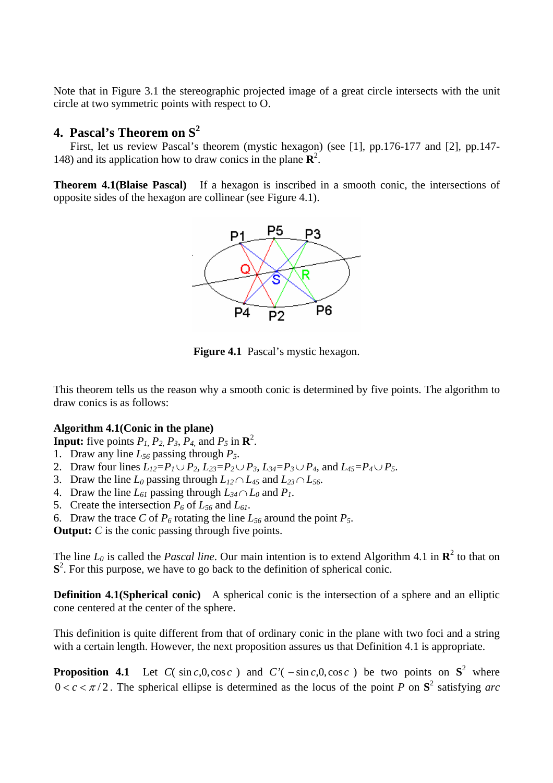Note that in Figure 3.1 the stereographic projected image of a great circle intersects with the unit circle at two symmetric points with respect to O.

# **4. Pascal's Theorem on S<sup>2</sup>**

 First, let us review Pascal's theorem (mystic hexagon) (see [1], pp.176-177 and [2], pp.147- 148) and its application how to draw conics in the plane  $\mathbb{R}^2$ .

**Theorem 4.1(Blaise Pascal)** If a hexagon is inscribed in a smooth conic, the intersections of opposite sides of the hexagon are collinear (see Figure 4.1).



**Figure 4.1** Pascal's mystic hexagon.

This theorem tells us the reason why a smooth conic is determined by five points. The algorithm to draw conics is as follows:

#### **Algorithm 4.1(Conic in the plane)**

**Input:** five points  $P_1$ ,  $P_2$ ,  $P_3$ ,  $P_4$ , and  $P_5$  in  $\mathbb{R}^2$ .

- 1. Draw any line  $L_{56}$  passing through  $P_5$ .
- 2. Draw four lines  $L_{12}=P_1 \cup P_2$ ,  $L_{23}=P_2 \cup P_3$ ,  $L_{34}=P_3 \cup P_4$ , and  $L_{45}=P_4 \cup P_5$ .
- 3. Draw the line  $L_0$  passing through  $L_{12} \cap L_{45}$  and  $L_{23} \cap L_{56}$ .
- 4. Draw the line  $L_{61}$  passing through  $L_{34} \cap L_0$  and  $P_1$ .
- 5. Create the intersection  $P_6$  of  $L_{56}$  and  $L_{61}$ .
- 6. Draw the trace *C* of  $P_6$  rotating the line  $L_{56}$  around the point  $P_5$ .

**Output:** *C* is the conic passing through five points.

The line  $L_0$  is called the *Pascal line*. Our main intention is to extend Algorithm 4.1 in  $\mathbb{R}^2$  to that on **S**<sup>2</sup>. For this purpose, we have to go back to the definition of spherical conic.

**Definition 4.1(Spherical conic)** A spherical conic is the intersection of a sphere and an elliptic cone centered at the center of the sphere.

This definition is quite different from that of ordinary conic in the plane with two foci and a string with a certain length. However, the next proposition assures us that Definition 4.1 is appropriate.

**Proposition 4.1** Let  $C(\sin c, 0, \cos c)$  and  $C'(-\sin c, 0, \cos c)$  be two points on  $S^2$  where  $0 < c < \pi/2$ . The spherical ellipse is determined as the locus of the point P on  $S^2$  satisfying *arc*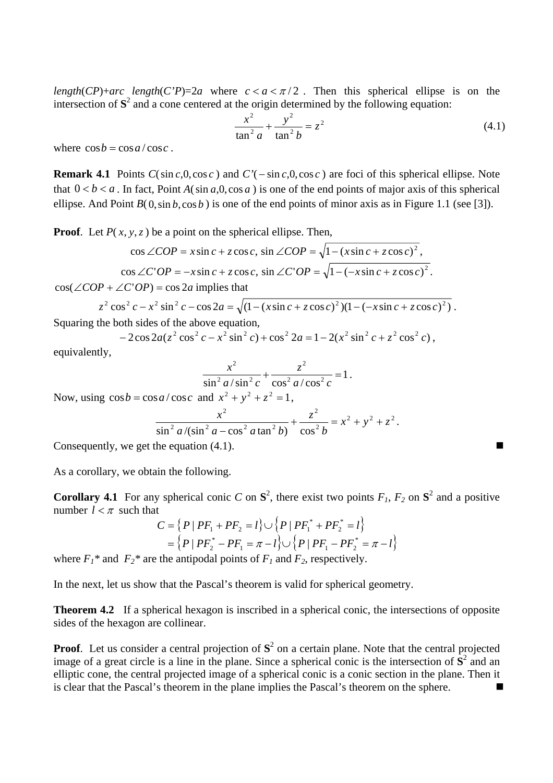*length*(*CP*)+*arc length*(*C'P*)=2*a* where  $c < a < \pi/2$ . Then this spherical ellipse is on the intersection of  $S<sup>2</sup>$  and a cone centered at the origin determined by the following equation:

$$
\frac{x^2}{\tan^2 a} + \frac{y^2}{\tan^2 b} = z^2
$$
 (4.1)

where  $\cos b = \cos a / \cos c$ .

**Remark 4.1** Points  $C(\sin c, 0, \cos c)$  and  $C'(-\sin c, 0, \cos c)$  are foci of this spherical ellipse. Note that  $0 < b < a$ . In fact, Point  $A(\sin a, 0, \cos a)$  is one of the end points of major axis of this spherical ellipse. And Point  $B(0, \sin b, \cos b)$  is one of the end points of minor axis as in Figure 1.1 (see [3]).

**Proof.** Let  $P(x, y, z)$  be a point on the spherical ellipse. Then,

$$
\cos \angle COP = x \sin c + z \cos c, \sin \angle COP = \sqrt{1 - (x \sin c + z \cos c)^2},
$$
  

$$
\cos \angle C'OP = -x \sin c + z \cos c, \sin \angle C'OP = \sqrt{1 - (-x \sin c + z \cos c)^2}.
$$

 $cos(\angle COP + \angle C'OP) = cos 2a$  implies that

$$
z^{2} \cos^{2} c - x^{2} \sin^{2} c - \cos 2a = \sqrt{(1 - (x \sin c + z \cos c)^{2})(1 - (-x \sin c + z \cos c)^{2})}.
$$

Squaring the both sides of the above equation,

$$
-2\cos 2a(z^2\cos^2 c - x^2\sin^2 c) + \cos^2 2a = 1 - 2(x^2\sin^2 c + z^2\cos^2 c),
$$

equivalently,

$$
\frac{x^2}{\sin^2 a / \sin^2 c} + \frac{z^2}{\cos^2 a / \cos^2 c} = 1.
$$

Now, using  $\cos b = \cos a / \cos c$  and  $x^2 + y^2 + z^2 = 1$ ,

$$
\frac{x^2}{\sin^2 a / (\sin^2 a - \cos^2 a \tan^2 b)} + \frac{z^2}{\cos^2 b} = x^2 + y^2 + z^2.
$$

Consequently, we get the equation (4.1).

As a corollary, we obtain the following.

**Corollary 4.1** For any spherical conic *C* on  $S^2$ , there exist two points  $F_1$ ,  $F_2$  on  $S^2$  and a positive number  $l < \pi$  such that

$$
C = \{ P | PF_1 + PF_2 = l \} \cup \{ P | PF_1^* + PF_2^* = l \}
$$
  
=  $\{ P | PF_2^* - PF_1 = \pi - l \} \cup \{ P | PF_1 - PF_2^* = \pi - l \}$ 

where  $F_1^*$  and  $F_2^*$  are the antipodal points of  $F_1$  and  $F_2$ , respectively.

In the next, let us show that the Pascal's theorem is valid for spherical geometry.

**Theorem 4.2** If a spherical hexagon is inscribed in a spherical conic, the intersections of opposite sides of the hexagon are collinear.

**Proof.** Let us consider a central projection of  $S^2$  on a certain plane. Note that the central projected image of a great circle is a line in the plane. Since a spherical conic is the intersection of  $S<sup>2</sup>$  and an elliptic cone, the central projected image of a spherical conic is a conic section in the plane. Then it is clear that the Pascal's theorem in the plane implies the Pascal's theorem on the sphere.